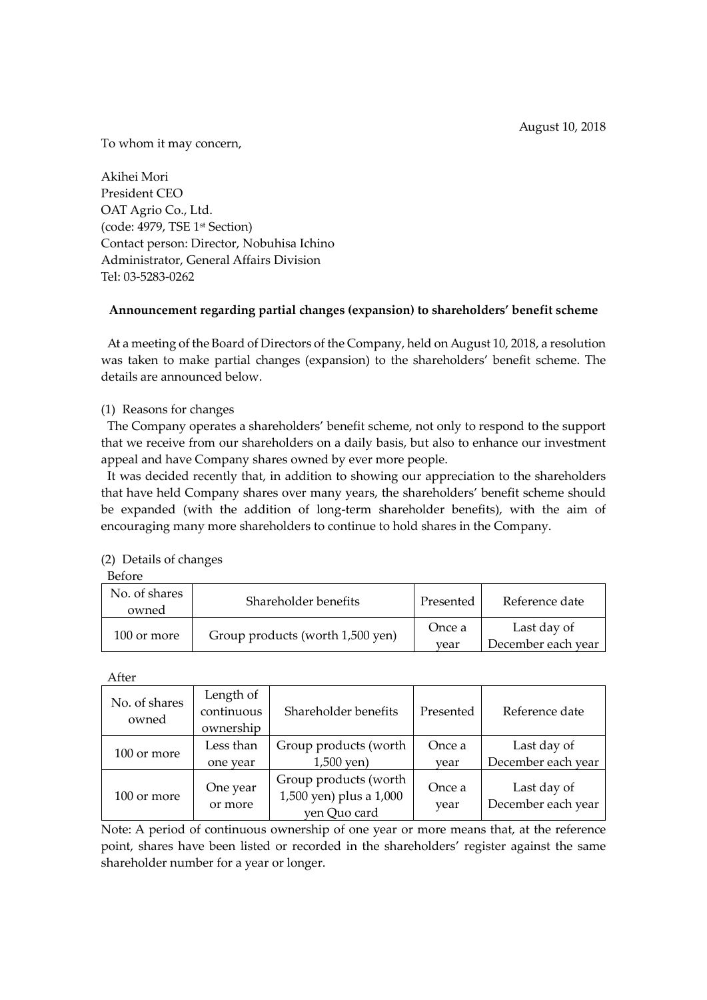To whom it may concern,

Akihei Mori President CEO OAT Agrio Co., Ltd. (code: 4979, TSE 1st Section) Contact person: Director, Nobuhisa Ichino Administrator, General Affairs Division Tel: 03-5283-0262

# **Announcement regarding partial changes (expansion) to shareholders' benefit scheme**

At a meeting of the Board of Directors of the Company, held on August 10, 2018, a resolution was taken to make partial changes (expansion) to the shareholders' benefit scheme. The details are announced below.

## (1) Reasons for changes

The Company operates a shareholders' benefit scheme, not only to respond to the support that we receive from our shareholders on a daily basis, but also to enhance our investment appeal and have Company shares owned by ever more people.

It was decided recently that, in addition to showing our appreciation to the shareholders that have held Company shares over many years, the shareholders' benefit scheme should be expanded (with the addition of long-term shareholder benefits), with the aim of encouraging many more shareholders to continue to hold shares in the Company.

#### (2) Details of changes

Before

| No. of shares<br>owned | Shareholder benefits             | Presented      | Reference date                    |
|------------------------|----------------------------------|----------------|-----------------------------------|
| 100 or more            | Group products (worth 1,500 yen) | Once a<br>year | Last day of<br>December each year |

After

| No. of shares<br>owned | Length of<br>continuous<br>ownership | Shareholder benefits                                             | Presented      | Reference date                    |
|------------------------|--------------------------------------|------------------------------------------------------------------|----------------|-----------------------------------|
| 100 or more            | Less than<br>one year                | Group products (worth<br>$1,500$ yen)                            | Once a<br>year | Last day of<br>December each year |
| 100 or more            | One year<br>or more                  | Group products (worth<br>1,500 yen) plus a 1,000<br>yen Quo card | Once a<br>year | Last day of<br>December each year |

Note: A period of continuous ownership of one year or more means that, at the reference point, shares have been listed or recorded in the shareholders' register against the same shareholder number for a year or longer.